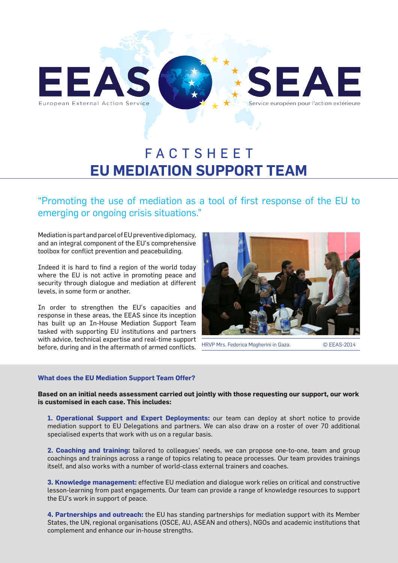

# FACTSHEET **EU MEDIATION SUPPORT TEAM**

"Promoting the use of mediation as a tool of first response of the EU to emerging or ongoing crisis situations."

Mediation is part and parcel of EU preventive diplomacy, and an integral component of the EU's comprehensive toolbox for conflict prevention and peacebuilding.

Indeed it is hard to find a region of the world today where the EU is not active in promoting peace and security through dialogue and mediation at different levels, in some form or another.

In order to strengthen the EU's capacities and response in these areas, the EEAS since its inception has built up an In-House Mediation Support Team tasked with supporting EU institutions and partners with advice, technical expertise and real-time support before, during and in the aftermath of armed conflicts.



HRVP Mrs. Federica Mogherini in Gaza. © EEAS-2014

## **What does the EU Mediation Support Team Offer?**

**Based on an initial needs assessment carried out jointly with those requesting our support, our work is customised in each case. This includes:**

**1. Operational Support and Expert Deployments:** our team can deploy at short notice to provide mediation support to EU Delegations and partners. We can also draw on a roster of over 70 additional specialised experts that work with us on a regular basis.

**2. Coaching and training:** tailored to colleagues' needs, we can propose one-to-one, team and group coachings and trainings across a range of topics relating to peace processes. Our team provides trainings itself, and also works with a number of world-class external trainers and coaches.

**3. Knowledge management:** effective EU mediation and dialogue work relies on critical and constructive lesson-learning from past engagements. Our team can provide a range of knowledge resources to support the EU's work in support of peace.

**4. Partnerships and outreach:** the EU has standing partnerships for mediation support with its Member States, the UN, regional organisations (OSCE, AU, ASEAN and others), NGOs and academic institutions that complement and enhance our in-house strengths.